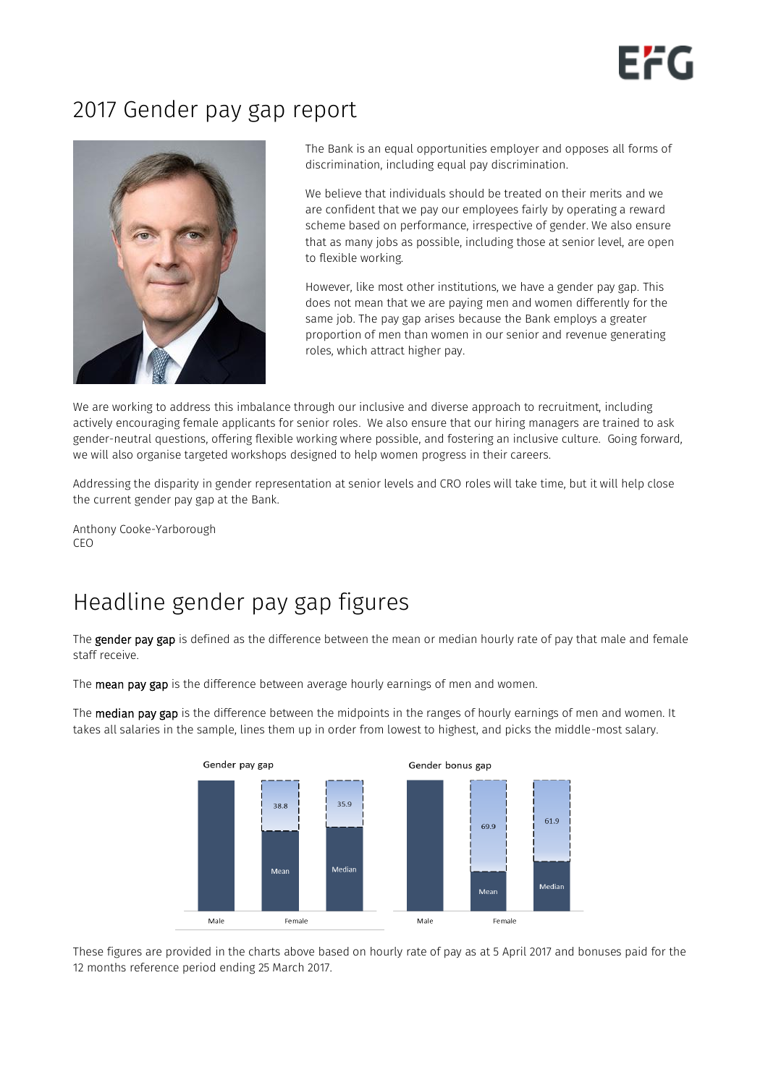

# 2017 Gender pay gap report



The Bank is an equal opportunities employer and opposes all forms of discrimination, including equal pay discrimination.

We believe that individuals should be treated on their merits and we are confident that we pay our employees fairly by operating a reward scheme based on performance, irrespective of gender. We also ensure that as many jobs as possible, including those at senior level, are open to flexible working.

However, like most other institutions, we have a gender pay gap. This does not mean that we are paying men and women differently for the same job. The pay gap arises because the Bank employs a greater proportion of men than women in our senior and revenue generating roles, which attract higher pay.

We are working to address this imbalance through our inclusive and diverse approach to recruitment, including actively encouraging female applicants for senior roles. We also ensure that our hiring managers are trained to ask gender-neutral questions, offering flexible working where possible, and fostering an inclusive culture. Going forward, we will also organise targeted workshops designed to help women progress in their careers.

Addressing the disparity in gender representation at senior levels and CRO roles will take time, but it will help close the current gender pay gap at the Bank.

Anthony Cooke-Yarborough CEO

# Headline gender pay gap figures

The gender pay gap is defined as the difference between the mean or median hourly rate of pay that male and female staff receive.

The **mean pay gap** is the difference between average hourly earnings of men and women.

The median pay gap is the difference between the midpoints in the ranges of hourly earnings of men and women. It takes all salaries in the sample, lines them up in order from lowest to highest, and picks the middle-most salary.



These figures are provided in the charts above based on hourly rate of pay as at 5 April 2017 and bonuses paid for the 12 months reference period ending 25 March 2017.